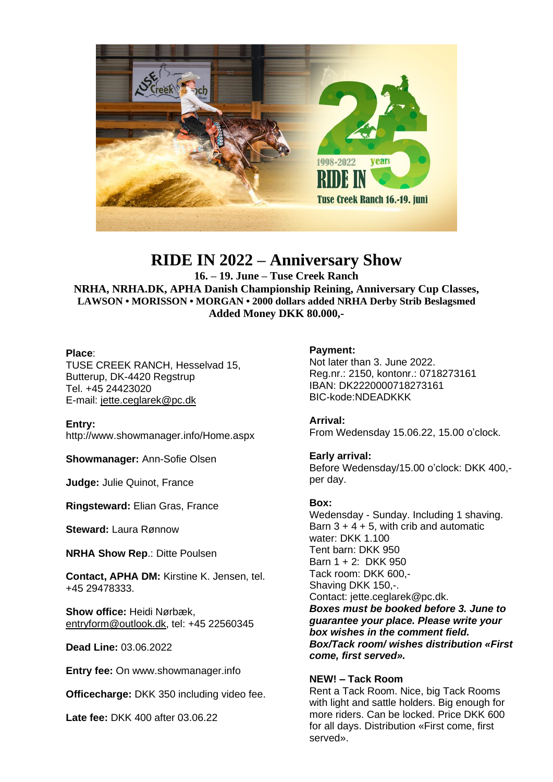

# **RIDE IN 2022 – Anniversary Show**

**16. – 19. June – Tuse Creek Ranch**

**NRHA, NRHA.DK, APHA Danish Championship Reining, Anniversary Cup Classes, LAWSON • MORISSON • MORGAN • 2000 dollars added NRHA Derby Strib Beslagsmed Added Money DKK 80.000,-**

## **Place**:

TUSE CREEK RANCH, Hesselvad 15, Butterup, DK-4420 Regstrup Tel. +45 24423020 E-mail: [jette.ceglarek@pc.dk](mailto:jette.ceglarek@pc.dk)

**Entry:** <http://www.showmanager.info/Home.aspx>

**Showmanager:** Ann-Sofie Olsen

**Judge:** Julie Quinot, France

**Ringsteward:** Elian Gras, France

**Steward:** Laura Rønnow

**NRHA Show Rep**.: Ditte Poulsen

**Contact, APHA DM:** Kirstine K. Jensen, tel. +45 29478333.

**Show office:** Heidi Nørbæk, [entryform@outlook.dk,](mailto:entryform@outlook.dk) tel: +45 22560345

**Dead Line:** 03.06.2022

**Entry fee:** On www.showmanager.info

**Officecharge:** DKK 350 including video fee.

**Late fee:** DKK 400 after 03.06.22

# **Payment:**

Not later than 3. June 2022. Reg.nr.: 2150, kontonr.: 0718273161 IBAN: DK2220000718273161 BIC-kode:NDEADKKK

**Arrival:** From Wedensday 15.06.22, 15.00 o'clock.

**Early arrival:**

Before Wedensday/15.00 o'clock: DKK 400, per day.

## **Box:**

Wedensday - Sunday. Including 1 shaving. Barn  $3 + 4 + 5$ , with crib and automatic water: DKK 1.100 Tent barn: DKK 950 Barn 1 + 2: DKK 950 Tack room: DKK 600,- Shaving DKK 150,-. Contact: jette.ceglarek@pc.dk. *Boxes must be booked before 3. June to guarantee your place. Please write your box wishes in the comment field. Box/Tack room/ wishes distribution «First come, first served».*

## **NEW! – Tack Room**

Rent a Tack Room. Nice, big Tack Rooms with light and sattle holders. Big enough for more riders. Can be locked. Price DKK 600 for all days. Distribution «First come, first served».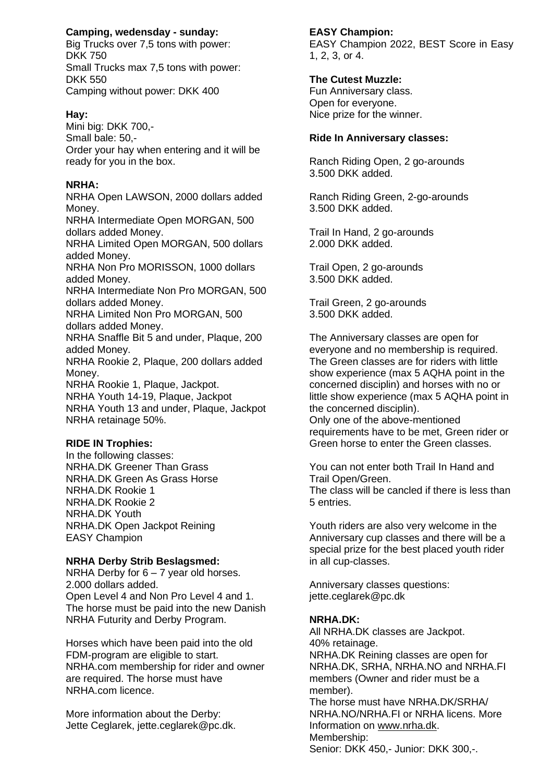# **Camping, wedensday - sunday:**

Big Trucks over 7,5 tons with power: DKK 750 Small Trucks max 7,5 tons with power: DKK 550 Camping without power: DKK 400

#### **Hay:**

Mini big: DKK 700,- Small bale: 50,- Order your hay when entering and it will be ready for you in the box.

#### **NRHA:**

NRHA Open LAWSON, 2000 dollars added Money. NRHA Intermediate Open MORGAN, 500 dollars added Money. NRHA Limited Open MORGAN, 500 dollars added Money. NRHA Non Pro MORISSON, 1000 dollars added Money. NRHA Intermediate Non Pro MORGAN, 500 dollars added Money. NRHA Limited Non Pro MORGAN, 500 dollars added Money. NRHA Snaffle Bit 5 and under, Plaque, 200 added Money. NRHA Rookie 2, Plaque, 200 dollars added Money. NRHA Rookie 1, Plaque, Jackpot.

NRHA Youth 14-19, Plaque, Jackpot NRHA Youth 13 and under, Plaque, Jackpot NRHA retainage 50%.

## **RIDE IN Trophies:**

In the following classes: NRHA.DK Greener Than Grass NRHA.DK Green As Grass Horse NRHA.DK Rookie 1 NRHA.DK Rookie 2 NRHA.DK Youth NRHA.DK Open Jackpot Reining EASY Champion

## **NRHA Derby Strib Beslagsmed:**

NRHA Derby for 6 – 7 year old horses. 2.000 dollars added. Open Level 4 and Non Pro Level 4 and 1. The horse must be paid into the new Danish NRHA Futurity and Derby Program.

Horses which have been paid into the old FDM-program are eligible to start. NRHA.com membership for rider and owner are required. The horse must have NRHA.com licence.

More information about the Derby: Jette Ceglarek, jette.ceglarek@pc.dk. **EASY Champion:** EASY Champion 2022, BEST Score in Easy 1, 2, 3, or 4.

## **The Cutest Muzzle:**

Fun Anniversary class. Open for everyone. Nice prize for the winner.

#### **Ride In Anniversary classes:**

Ranch Riding Open, 2 go-arounds 3.500 DKK added.

Ranch Riding Green, 2-go-arounds 3.500 DKK added.

Trail In Hand, 2 go-arounds 2.000 DKK added.

Trail Open, 2 go-arounds 3.500 DKK added.

Trail Green, 2 go-arounds 3.500 DKK added.

The Anniversary classes are open for everyone and no membership is required. The Green classes are for riders with little show experience (max 5 AQHA point in the concerned disciplin) and horses with no or little show experience (max 5 AQHA point in the concerned disciplin).

Only one of the above-mentioned requirements have to be met, Green rider or Green horse to enter the Green classes.

You can not enter both Trail In Hand and Trail Open/Green. The class will be cancled if there is less than 5 entries.

Youth riders are also very welcome in the Anniversary cup classes and there will be a special prize for the best placed youth rider in all cup-classes.

Anniversary classes questions: jette.ceglarek@pc.dk

#### **NRHA.DK:**

All NRHA.DK classes are Jackpot. 40% retainage. NRHA.DK Reining classes are open for NRHA.DK, SRHA, NRHA.NO and NRHA.FI members (Owner and rider must be a member). The horse must have NRHA.DK/SRHA/ NRHA.NO/NRHA.FI or NRHA licens. More Information on [www.nrha.dk.](http://www.nrha.dk/) Membership: Senior: DKK 450,- Junior: DKK 300,-.